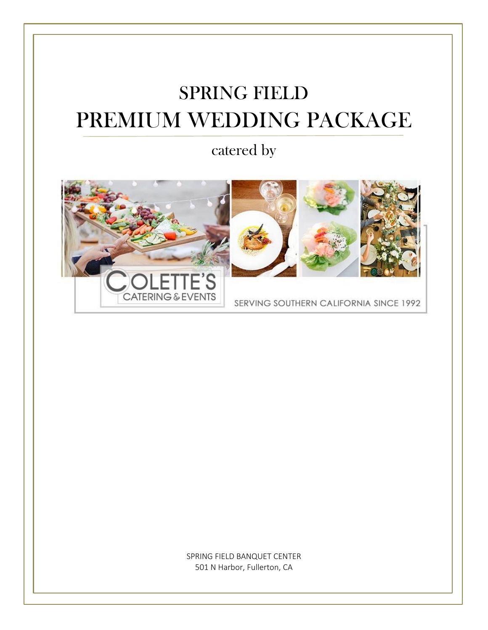# SPRING FIELD PREMIUM WEDDING PACKAGE

catered by



SPRING FIELD BANQUET CENTER 501 N Harbor, Fullerton, CA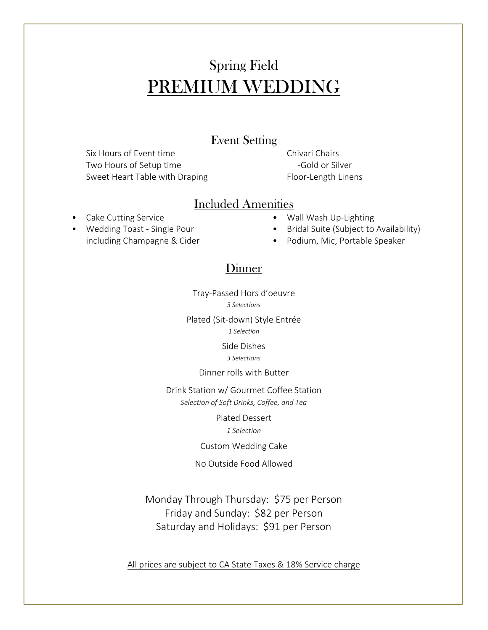# Spring Field PREMIUM WEDDING

#### Event Setting

Six Hours of Event time Two Hours of Setup time Sweet Heart Table with Draping Chivari Chairs -Gold or Silver Floor-Length Linens

#### Included Amenities

- Cake Cutting Service
- Wedding Toast Single Pour including Champagne & Cider
- Wall Wash Up-Lighting
- Bridal Suite (Subject to Availability)
- Podium, Mic, Portable Speaker

### **Dinner**

Tray-Passed Hors d'oeuvre *3 Selections* Plated (Sit-down) Style Entrée

*1 Selection*

Side Dishes *3 Selections*

#### Dinner rolls with Butter

Drink Station w/ Gourmet Coffee Station *Selection of Soft Drinks, Coffee, and Tea*

> Plated Dessert *1 Selection*

Custom Wedding Cake

No Outside Food Allowed

Monday Through Thursday: \$75 per Person Friday and Sunday: \$82 per Person Saturday and Holidays: \$91 per Person

All prices are subject to CA State Taxes & 18% Service charge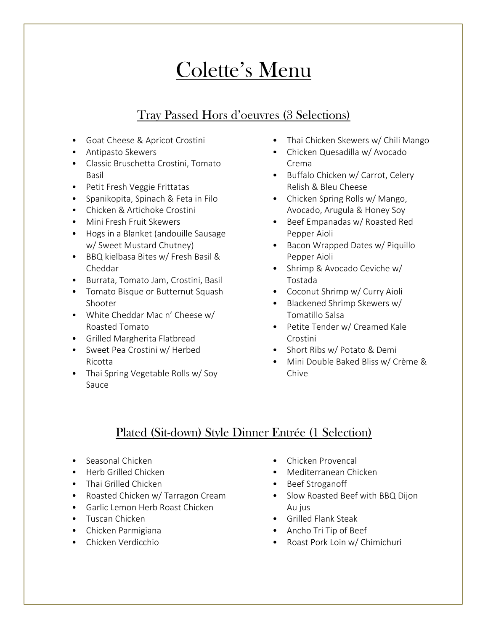# Colette' s Menu

# Tray Passed Hors d'oeuvres (3 Selections)

- Goat Cheese & Apricot Crostini
- Antipasto Skewers
- Classic Bruschetta Crostini, Tomato Basil
- Petit Fresh Veggie Frittatas
- Spanikopita, Spinach & Feta in Filo
- Chicken & Artichoke Crostini
- Mini Fresh Fruit Skewers
- Hogs in a Blanket (andouille Sausage w/ Sweet Mustard Chutney)
- BBQ kielbasa Bites w/ Fresh Basil & Cheddar
- Burrata, Tomato Jam, Crostini, Basil
- Tomato Bisque or Butternut Squash Shooter
- White Cheddar Mac n' Cheese w/ Roasted Tomato
- Grilled Margherita Flatbread
- Sweet Pea Crostini w/ Herbed Ricotta
- Thai Spring Vegetable Rolls w/Soy Sauce
- Thai Chicken Skewers w/ Chili Mango
- Chicken Quesadilla w/ Avocado Crema
- Buffalo Chicken w/ Carrot, Celery Relish & Bleu Cheese
- Chicken Spring Rolls w/ Mango, Avocado, Arugula & Honey Soy
- Beef Empanadas w/ Roasted Red Pepper Aioli
- Bacon Wrapped Dates w/ Piquillo Pepper Aioli
- Shrimp & Avocado Ceviche w/ Tostada
- Coconut Shrimp w/ Curry Aioli
- Blackened Shrimp Skewers w/ Tomatillo Salsa
- Petite Tender w/ Creamed Kale Crostini
- Short Ribs w/ Potato & Demi
- Mini Double Baked Bliss w/ Crème & Chive

# Plated (Sit-down) Style Dinner Entrée (1 Selection)

- Seasonal Chicken
- Herb Grilled Chicken
- Thai Grilled Chicken
- Roasted Chicken w/ Tarragon Cream
- Garlic Lemon Herb Roast Chicken
- Tuscan Chicken
- Chicken Parmigiana
- Chicken Verdicchio
- Chicken Provencal
- Mediterranean Chicken
- Beef Stroganoff
- Slow Roasted Beef with BBQ Dijon Au jus
- Grilled Flank Steak
- Ancho Tri Tip of Beef
- Roast Pork Loin w/ Chimichuri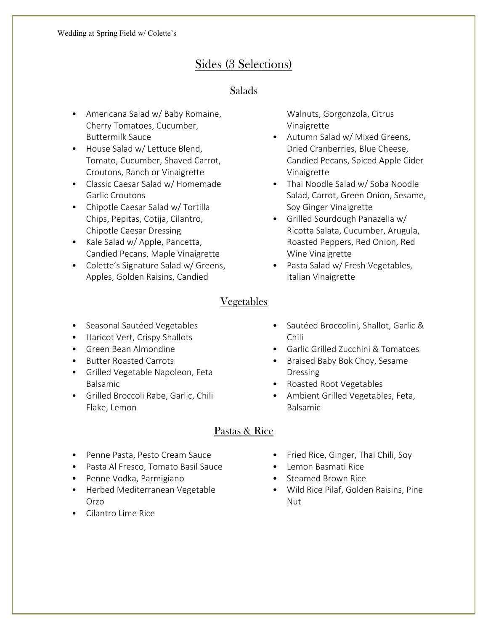# Sides (3 Selections)

#### Salads

- Americana Salad w/ Baby Romaine, Cherry Tomatoes, Cucumber, Buttermilk Sauce
- House Salad w/ Lettuce Blend, Tomato, Cucumber, Shaved Carrot, Croutons, Ranch or Vinaigrette
- Classic Caesar Salad w/ Homemade Garlic Croutons
- Chipotle Caesar Salad w/ Tortilla Chips, Pepitas, Cotija, Cilantro, Chipotle Caesar Dressing
- Kale Salad w/ Apple, Pancetta, Candied Pecans, Maple Vinaigrette
- Colette's Signature Salad w/ Greens, Apples, Golden Raisins, Candied

Walnuts, Gorgonzola, Citrus Vinaigrette

- Autumn Salad w/ Mixed Greens, Dried Cranberries, Blue Cheese, Candied Pecans, Spiced Apple Cider Vinaigrette
- Thai Noodle Salad w/ Soba Noodle Salad, Carrot, Green Onion, Sesame, Soy Ginger Vinaigrette
- Grilled Sourdough Panazella w/ Ricotta Salata, Cucumber, Arugula, Roasted Peppers, Red Onion, Red Wine Vinaigrette
- Pasta Salad w/ Fresh Vegetables, Italian Vinaigrette

### Vegetables

- Seasonal Sautéed Vegetables
- Haricot Vert, Crispy Shallots
- Green Bean Almondine
- Butter Roasted Carrots
- Grilled Vegetable Napoleon, Feta Balsamic
- Grilled Broccoli Rabe, Garlic, Chili Flake, Lemon
- Sautéed Broccolini, Shallot, Garlic & Chili
- Garlic Grilled Zucchini & Tomatoes
- Braised Baby Bok Choy, Sesame Dressing
- Roasted Root Vegetables
- Ambient Grilled Vegetables, Feta, Balsamic

### Pastas & Rice

- Penne Pasta, Pesto Cream Sauce
- Pasta Al Fresco, Tomato Basil Sauce
- Penne Vodka, Parmigiano
- Herbed Mediterranean Vegetable Orzo
- Cilantro Lime Rice
- Fried Rice, Ginger, Thai Chili, Soy
- Lemon Basmati Rice
- Steamed Brown Rice
- Wild Rice Pilaf, Golden Raisins, Pine Nut